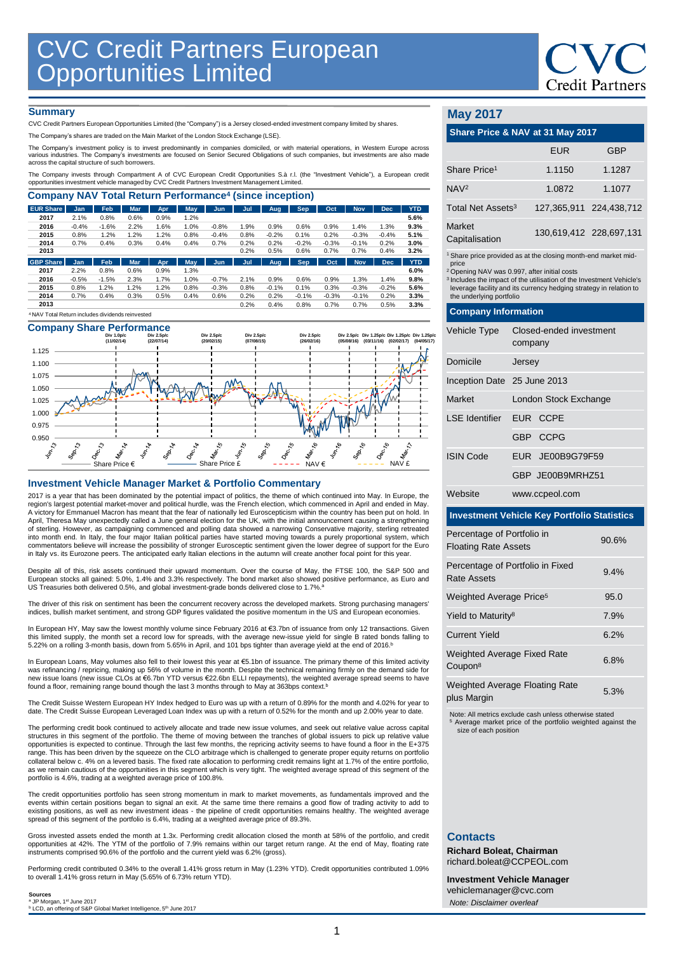#### **Summary**

CVC Credit Partners European Opportunities Limited (the "Company") is a Jersey closed-ended investment company limited by shares.

The Company's shares are traded on the Main Market of the London Stock Exchange (LSE).

The Company's investment policy is to invest predominantly in companies domiciled, or with material operations, in Westem Europe across<br>various industries. The Company's investments are focused on Senior Secured Obligation

The Company invests through Compartment A of CVC European Credit Opportunities S.à r.l. (the "Investment Vehicle"), a European credit<br>opportunities investment vehicle managed by CVC Credit Partners Investment Management Li

| <b>EUR Share</b> | <b>Jan</b> | Feb     | <b>Mar</b> | Apr. | May        | Jun.    | Jul  | Aug     | <b>Sep</b> | Oct     | <b>Nov</b> | <b>Dec</b> | <b>YTD</b> |
|------------------|------------|---------|------------|------|------------|---------|------|---------|------------|---------|------------|------------|------------|
| 2017             | 2.1%       | 0.8%    | 0.6%       | 0.9% | 1.2%       |         |      |         |            |         |            |            | 5.6%       |
| 2016             | $-0.4%$    | $-1.6%$ | 2.2%       | 1.6% | 1.0%       | $-0.8%$ | 1.9% | 0.9%    | 0.6%       | 0.9%    | 1.4%       | 1.3%       | 9.3%       |
| 2015             | 0.8%       | 1.2%    | 1.2%       | 1.2% | 0.8%       | $-0.4%$ | 0.8% | $-0.2%$ | 0.1%       | 0.2%    | $-0.3%$    | $-0.4%$    | 5.1%       |
| 2014             | 0.7%       | 0.4%    | 0.3%       | 0.4% | 0.4%       | 0.7%    | 0.2% | 0.2%    | $-0.2%$    | $-0.3%$ | $-0.1%$    | 0.2%       | 3.0%       |
| 2013             |            |         |            |      |            |         | 0.2% | 0.5%    | 0.6%       | 0.7%    | 0.7%       | 0.4%       | 3.2%       |
| <b>GBP Share</b> | <b>Jan</b> | Feb     | <b>Mar</b> | Apr  | <b>May</b> | Jun     | Jul  | Aug     | <b>Sep</b> | Oct     | <b>Nov</b> | <b>Dec</b> | <b>YTD</b> |
| 2017             | 2.2%       | 0.8%    | 0.6%       | 0.9% | 1.3%       |         |      |         |            |         |            |            | 6.0%       |
| 2016             | $-0.5%$    | $-1.5%$ | 2.3%       | 1.7% | 1.0%       | $-0.7%$ | 2.1% | 0.9%    | 0.6%       | 0.9%    | 1.3%       | 1.4%       | 9.8%       |
| 2015             | 0.8%       | 1.2%    | 1.2%       | 1.2% | 0.8%       | $-0.3%$ | 0.8% | $-0.1%$ | 0.1%       | 0.3%    | $-0.3%$    | $-0.2%$    | 5.6%       |
| 2014             | 0.7%       | 0.4%    | 0.3%       | 0.5% | 0.4%       | 0.6%    | 0.2% | 0.2%    | $-0.1%$    | $-0.3%$ | $-0.1%$    | 0.2%       | 3.3%       |
|                  |            |         |            |      |            |         | 0.2% | 0.4%    | 0.8%       | 0.7%    | 0.7%       | 0.5%       | 3.3%       |

### **Company Share Performance**



#### **Investment Vehicle Manager Market & Portfolio Commentary**

2017 is a year that has been dominated by the potential impact of politics, the theme of which continued into May. In Europe, the region's largest potential market-mover and political hurdle, was the French election, which commenced in April and ended in May. A victory for Emmanuel Macron has meant that the fear of nationally led Euroscepticism within the country has been put on hold. In April, Theresa May unexpectedly called a June general election for the UK, with the initial announcement causing a strengthening of sterling. However, as campaigning commenced and polling data showed a narrowing Conservative majority, sterling retreated<br>into month end. In Italy, the four major Italian political parties have started moving towards a commentators believe will increase the possibility of stronger Eurosceptic sentiment given the lower degree of support for the Euro in Italy vs. its Eurozone peers. The anticipated early Italian elections in the autumn will create another focal point for this year.

Despite all of this, risk assets continued their upward momentum. Over the course of May, the FTSE 100, the S&P 500 and<br>European stocks all gained: 5.0%, 1.4% and 3.3% respectively. The bond market also showed positive per US Treasuries both delivered 0.5%, and global investment-grade bonds delivered close to 1.7%.<sup>a</sup>

The driver of this risk on sentiment has been the concurrent recovery across the developed markets. Strong purchasing managers' indices, bullish market sentiment, and strong GDP figures validated the positive momentum in the US and European economies.

In European HY, May saw the lowest monthly volume since February 2016 at €3.7bn of issuance from only 12 transactions. Given this limited supply, the month set a record low for spreads, with the average new-issue yield for single B rated bonds falling to 5.22% on a rolling 3-month basis, down from 5.65% in April, and 101 bps tighter than average yield at the end of 2016. b

In European Loans, May volumes also fell to their lowest this year at €5.1bn of issuance. The primary theme of this limited activity was refinancing / repricing, making up 56% of volume in the month. Despite the technical remaining firmly on the demand side for<br>new issue loans (new issue CLOs at €6.7bn YTD versus €22.6bn ELLI repayments), the weighted found a floor, remaining range bound though the last 3 months through to May at 363bps context.<sup>t</sup>

The Credit Suisse Western European HY Index hedged to Euro was up with a return of 0.89% for the month and 4.02% for year to<br>date. The Credit Suisse European Leveraged Loan Index was up with a return of 0.52% for the month

The performing credit book continued to actively allocate and trade new issue volumes, and seek out relative value across capital structures in this segment of the portfolio. The theme of moving between the tranches of global issuers to pick up relative value opportunities is expected to continue. Through the last few months, the repricing activity seems to have found a floor in the E+375 range. This has been driven by the squeeze on the CLO arbitrage which is challenged to generate proper equity returns on portfolio collateral below c. 4% on a levered basis. The fixed rate allocation to performing credit remains light at 1.7% of the entire portfolio, as we remain cautious of the opportunities in this segment which is very tight. The weighted average spread of this segment of the portfolio is 4.6%, trading at a weighted average price of 100.8%.

The credit opportunities portfolio has seen strong momentum in mark to market movements, as fundamentals improved and the events within certain positions began to signal an exit. At the same time there remains a good flow of trading activity to add to existing positions, as well as new investment ideas - the pipeline of credit opportunities remains healthy. The weighted average spread of this segment of the portfolio is 6.4%, trading at a weighted average price of 89.3%.

Gross invested assets ended the month at 1.3x. Performing credit allocation closed the month at 58% of the portfolio, and credit opportunities at 42%. The YTM of the portfolio of 7.9% remains within our target return range. At the end of May, floating rate instruments comprised 90.6% of the portfolio and the current yield was 6.2% (gross).

Performing credit contributed 0.34% to the overall 1.41% gross return in May (1.23% YTD). Credit opportunities contributed 1.09% to overall 1.41% gross return in May (5.65% of 6.73% return YTD).

**Sources**<br>ª JP Morgan, 1≌ June 2017<br><sup>b</sup> LCD, an offering of S&P Global Market Intelligence, 5<sup>th</sup> June 2017

#### **May 2017**

| Share Price & NAV at 31 May 2017                                                                                                                                                                                                                                                                                                   |            |                         |  |  |  |
|------------------------------------------------------------------------------------------------------------------------------------------------------------------------------------------------------------------------------------------------------------------------------------------------------------------------------------|------------|-------------------------|--|--|--|
|                                                                                                                                                                                                                                                                                                                                    | <b>EUR</b> | GBP                     |  |  |  |
| Share Price <sup>1</sup>                                                                                                                                                                                                                                                                                                           | 1.1150     | 1.1287                  |  |  |  |
| NAV <sup>2</sup>                                                                                                                                                                                                                                                                                                                   | 1.0872     | 1.1077                  |  |  |  |
| Total Net Assets <sup>3</sup>                                                                                                                                                                                                                                                                                                      |            | 127,365,911 224,438,712 |  |  |  |
| Market<br>Capitalisation                                                                                                                                                                                                                                                                                                           |            | 130,619,412 228,697,131 |  |  |  |
| <sup>1</sup> Share price provided as at the closing month-end market mid-<br>price<br><sup>2</sup> Opening NAV was 0.997, after initial costs<br><sup>3</sup> Includes the impact of the utilisation of the Investment Vehicle's<br>leverage facility and its currency hedging strategy in relation to<br>the underlying portfolio |            |                         |  |  |  |
| <b>Company Information</b>                                                                                                                                                                                                                                                                                                         |            |                         |  |  |  |
| Closed-ended investment<br><b>Vehicle Type</b>                                                                                                                                                                                                                                                                                     |            |                         |  |  |  |

|                             | company               |  |  |  |
|-----------------------------|-----------------------|--|--|--|
| Domicile                    | Jersey                |  |  |  |
| Inception Date 25 June 2013 |                       |  |  |  |
| Market                      | London Stock Exchange |  |  |  |
| LSE Identifier EUR CCPE     |                       |  |  |  |
|                             | GBP CCPG              |  |  |  |
| <b>ISIN Code</b>            | EUR JE00B9G79F59      |  |  |  |
|                             | GBP JF00B9MRH751      |  |  |  |
| Website                     | www.ccpeol.com        |  |  |  |

#### **Investment Vehicle Key Portfolio Statistics**

| Percentage of Portfolio in<br><b>Floating Rate Assets</b> | 90.6% |
|-----------------------------------------------------------|-------|
| Percentage of Portfolio in Fixed<br>Rate Assets           | 9.4%  |
| Weighted Average Price <sup>5</sup>                       | 95.0  |
| Yield to Maturity <sup>8</sup>                            | 7.9%  |
| Current Yield                                             | 6.2%  |
| <b>Weighted Average Fixed Rate</b><br>Coupon <sup>8</sup> | 6.8%  |
| <b>Weighted Average Floating Rate</b><br>plus Margin      | 5.3%  |

Note: All metrics exclude cash unless otherwise stated <sup>5</sup> Average market price of the portfolio weighted against the size of each position

#### **Contacts**

**Richard Boleat, Chairman**  richard.boleat@CCPEOL.com

**Investment Vehicle Manager** vehiclemanager@cvc.com *Note: Disclaimer overleaf*